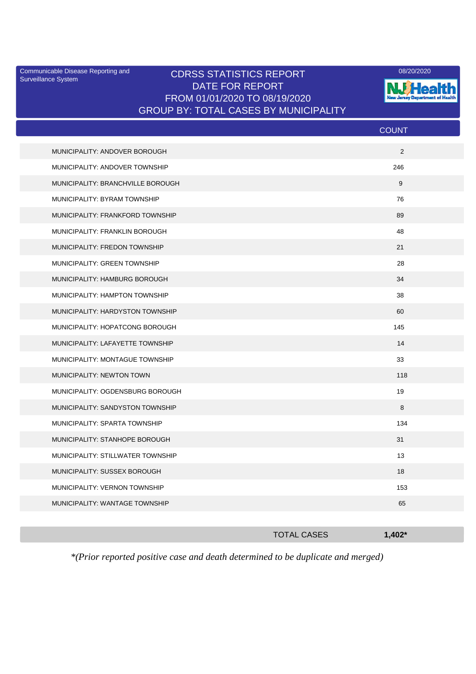Surveillance System

## Communicable Disease Reporting and CDRSS STATISTICS REPORT <sup>08/20/2020</sup><br>Surveillance System CDRSS STATISTICS REPORT DATE FOR REPORT FROM 01/01/2020 TO 08/19/2020 GROUP BY: TOTAL CASES BY MUNICIPALITY



|                                   | <b>COUNT</b> |
|-----------------------------------|--------------|
| MUNICIPALITY: ANDOVER BOROUGH     | 2            |
| MUNICIPALITY: ANDOVER TOWNSHIP    | 246          |
| MUNICIPALITY: BRANCHVILLE BOROUGH | 9            |
| MUNICIPALITY: BYRAM TOWNSHIP      | 76           |
| MUNICIPALITY: FRANKFORD TOWNSHIP  | 89           |
| MUNICIPALITY: FRANKLIN BOROUGH    | 48           |
| MUNICIPALITY: FREDON TOWNSHIP     | 21           |
| MUNICIPALITY: GREEN TOWNSHIP      | 28           |
| MUNICIPALITY: HAMBURG BOROUGH     | 34           |
| MUNICIPALITY: HAMPTON TOWNSHIP    | 38           |
| MUNICIPALITY: HARDYSTON TOWNSHIP  | 60           |
| MUNICIPALITY: HOPATCONG BOROUGH   | 145          |
| MUNICIPALITY: LAFAYETTE TOWNSHIP  | 14           |
| MUNICIPALITY: MONTAGUE TOWNSHIP   | 33           |
| MUNICIPALITY: NEWTON TOWN         | 118          |
| MUNICIPALITY: OGDENSBURG BOROUGH  | 19           |
| MUNICIPALITY: SANDYSTON TOWNSHIP  | 8            |
| MUNICIPALITY: SPARTA TOWNSHIP     | 134          |
| MUNICIPALITY: STANHOPE BOROUGH    | 31           |
| MUNICIPALITY: STILLWATER TOWNSHIP | 13           |
| MUNICIPALITY: SUSSEX BOROUGH      | 18           |
| MUNICIPALITY: VERNON TOWNSHIP     | 153          |
| MUNICIPALITY: WANTAGE TOWNSHIP    | 65           |
|                                   |              |

| $\sim$ $\sim$ $\sim$ | . | . |  |
|----------------------|---|---|--|
|                      |   |   |  |
|                      |   |   |  |

TOTAL CASES **1,402\***

*\*(Prior reported positive case and death determined to be duplicate and merged)*